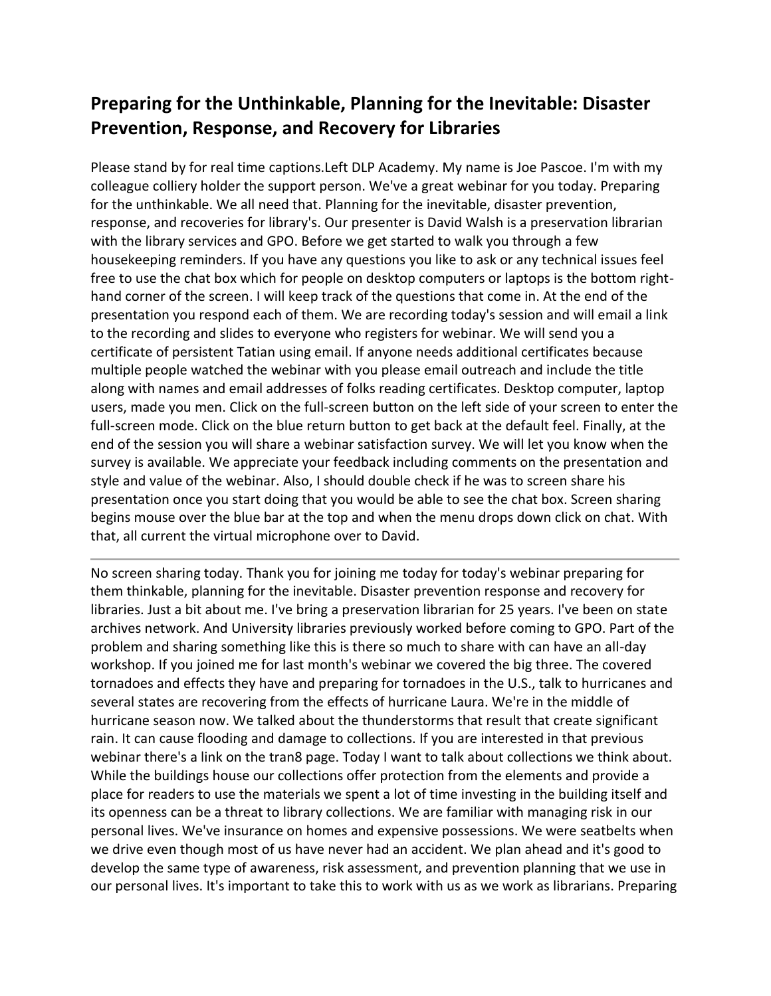## **Preparing for the Unthinkable, Planning for the Inevitable: Disaster Prevention, Response, and Recovery for Libraries**

Please stand by for real time captions.Left DLP Academy. My name is Joe Pascoe. I'm with my colleague colliery holder the support person. We've a great webinar for you today. Preparing for the unthinkable. We all need that. Planning for the inevitable, disaster prevention, response, and recoveries for library's. Our presenter is David Walsh is a preservation librarian with the library services and GPO. Before we get started to walk you through a few housekeeping reminders. If you have any questions you like to ask or any technical issues feel free to use the chat box which for people on desktop computers or laptops is the bottom righthand corner of the screen. I will keep track of the questions that come in. At the end of the presentation you respond each of them. We are recording today's session and will email a link to the recording and slides to everyone who registers for webinar. We will send you a certificate of persistent Tatian using email. If anyone needs additional certificates because multiple people watched the webinar with you please email outreach and include the title along with names and email addresses of folks reading certificates. Desktop computer, laptop users, made you men. Click on the full-screen button on the left side of your screen to enter the full-screen mode. Click on the blue return button to get back at the default feel. Finally, at the end of the session you will share a webinar satisfaction survey. We will let you know when the survey is available. We appreciate your feedback including comments on the presentation and style and value of the webinar. Also, I should double check if he was to screen share his presentation once you start doing that you would be able to see the chat box. Screen sharing begins mouse over the blue bar at the top and when the menu drops down click on chat. With that, all current the virtual microphone over to David.

No screen sharing today. Thank you for joining me today for today's webinar preparing for them thinkable, planning for the inevitable. Disaster prevention response and recovery for libraries. Just a bit about me. I've bring a preservation librarian for 25 years. I've been on state archives network. And University libraries previously worked before coming to GPO. Part of the problem and sharing something like this is there so much to share with can have an all-day workshop. If you joined me for last month's webinar we covered the big three. The covered tornadoes and effects they have and preparing for tornadoes in the U.S., talk to hurricanes and several states are recovering from the effects of hurricane Laura. We're in the middle of hurricane season now. We talked about the thunderstorms that result that create significant rain. It can cause flooding and damage to collections. If you are interested in that previous webinar there's a link on the tran8 page. Today I want to talk about collections we think about. While the buildings house our collections offer protection from the elements and provide a place for readers to use the materials we spent a lot of time investing in the building itself and its openness can be a threat to library collections. We are familiar with managing risk in our personal lives. We've insurance on homes and expensive possessions. We were seatbelts when we drive even though most of us have never had an accident. We plan ahead and it's good to develop the same type of awareness, risk assessment, and prevention planning that we use in our personal lives. It's important to take this to work with us as we work as librarians. Preparing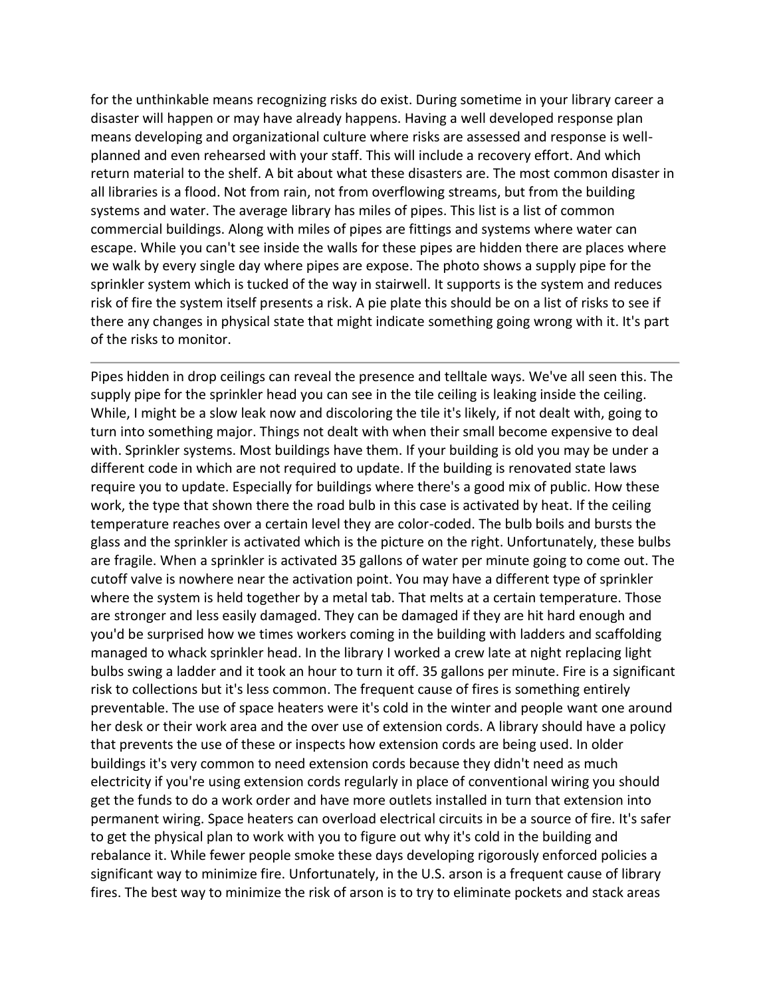for the unthinkable means recognizing risks do exist. During sometime in your library career a disaster will happen or may have already happens. Having a well developed response plan means developing and organizational culture where risks are assessed and response is wellplanned and even rehearsed with your staff. This will include a recovery effort. And which return material to the shelf. A bit about what these disasters are. The most common disaster in all libraries is a flood. Not from rain, not from overflowing streams, but from the building systems and water. The average library has miles of pipes. This list is a list of common commercial buildings. Along with miles of pipes are fittings and systems where water can escape. While you can't see inside the walls for these pipes are hidden there are places where we walk by every single day where pipes are expose. The photo shows a supply pipe for the sprinkler system which is tucked of the way in stairwell. It supports is the system and reduces risk of fire the system itself presents a risk. A pie plate this should be on a list of risks to see if there any changes in physical state that might indicate something going wrong with it. It's part of the risks to monitor.

Pipes hidden in drop ceilings can reveal the presence and telltale ways. We've all seen this. The supply pipe for the sprinkler head you can see in the tile ceiling is leaking inside the ceiling. While, I might be a slow leak now and discoloring the tile it's likely, if not dealt with, going to turn into something major. Things not dealt with when their small become expensive to deal with. Sprinkler systems. Most buildings have them. If your building is old you may be under a different code in which are not required to update. If the building is renovated state laws require you to update. Especially for buildings where there's a good mix of public. How these work, the type that shown there the road bulb in this case is activated by heat. If the ceiling temperature reaches over a certain level they are color-coded. The bulb boils and bursts the glass and the sprinkler is activated which is the picture on the right. Unfortunately, these bulbs are fragile. When a sprinkler is activated 35 gallons of water per minute going to come out. The cutoff valve is nowhere near the activation point. You may have a different type of sprinkler where the system is held together by a metal tab. That melts at a certain temperature. Those are stronger and less easily damaged. They can be damaged if they are hit hard enough and you'd be surprised how we times workers coming in the building with ladders and scaffolding managed to whack sprinkler head. In the library I worked a crew late at night replacing light bulbs swing a ladder and it took an hour to turn it off. 35 gallons per minute. Fire is a significant risk to collections but it's less common. The frequent cause of fires is something entirely preventable. The use of space heaters were it's cold in the winter and people want one around her desk or their work area and the over use of extension cords. A library should have a policy that prevents the use of these or inspects how extension cords are being used. In older buildings it's very common to need extension cords because they didn't need as much electricity if you're using extension cords regularly in place of conventional wiring you should get the funds to do a work order and have more outlets installed in turn that extension into permanent wiring. Space heaters can overload electrical circuits in be a source of fire. It's safer to get the physical plan to work with you to figure out why it's cold in the building and rebalance it. While fewer people smoke these days developing rigorously enforced policies a significant way to minimize fire. Unfortunately, in the U.S. arson is a frequent cause of library fires. The best way to minimize the risk of arson is to try to eliminate pockets and stack areas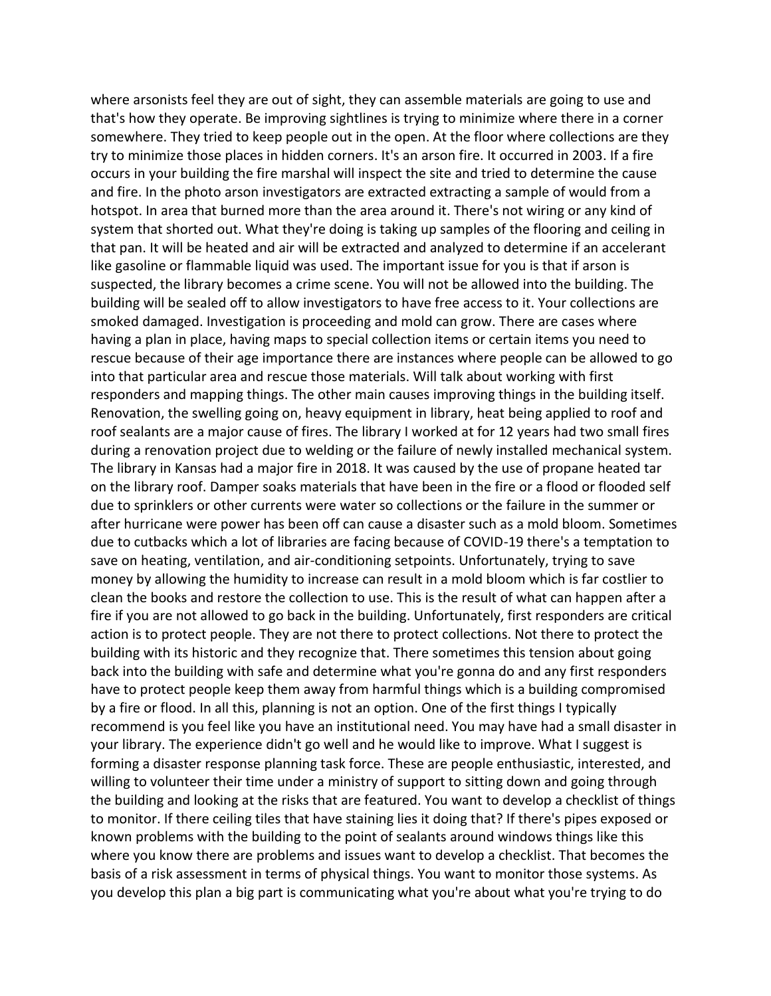where arsonists feel they are out of sight, they can assemble materials are going to use and that's how they operate. Be improving sightlines is trying to minimize where there in a corner somewhere. They tried to keep people out in the open. At the floor where collections are they try to minimize those places in hidden corners. It's an arson fire. It occurred in 2003. If a fire occurs in your building the fire marshal will inspect the site and tried to determine the cause and fire. In the photo arson investigators are extracted extracting a sample of would from a hotspot. In area that burned more than the area around it. There's not wiring or any kind of system that shorted out. What they're doing is taking up samples of the flooring and ceiling in that pan. It will be heated and air will be extracted and analyzed to determine if an accelerant like gasoline or flammable liquid was used. The important issue for you is that if arson is suspected, the library becomes a crime scene. You will not be allowed into the building. The building will be sealed off to allow investigators to have free access to it. Your collections are smoked damaged. Investigation is proceeding and mold can grow. There are cases where having a plan in place, having maps to special collection items or certain items you need to rescue because of their age importance there are instances where people can be allowed to go into that particular area and rescue those materials. Will talk about working with first responders and mapping things. The other main causes improving things in the building itself. Renovation, the swelling going on, heavy equipment in library, heat being applied to roof and roof sealants are a major cause of fires. The library I worked at for 12 years had two small fires during a renovation project due to welding or the failure of newly installed mechanical system. The library in Kansas had a major fire in 2018. It was caused by the use of propane heated tar on the library roof. Damper soaks materials that have been in the fire or a flood or flooded self due to sprinklers or other currents were water so collections or the failure in the summer or after hurricane were power has been off can cause a disaster such as a mold bloom. Sometimes due to cutbacks which a lot of libraries are facing because of COVID-19 there's a temptation to save on heating, ventilation, and air-conditioning setpoints. Unfortunately, trying to save money by allowing the humidity to increase can result in a mold bloom which is far costlier to clean the books and restore the collection to use. This is the result of what can happen after a fire if you are not allowed to go back in the building. Unfortunately, first responders are critical action is to protect people. They are not there to protect collections. Not there to protect the building with its historic and they recognize that. There sometimes this tension about going back into the building with safe and determine what you're gonna do and any first responders have to protect people keep them away from harmful things which is a building compromised by a fire or flood. In all this, planning is not an option. One of the first things I typically recommend is you feel like you have an institutional need. You may have had a small disaster in your library. The experience didn't go well and he would like to improve. What I suggest is forming a disaster response planning task force. These are people enthusiastic, interested, and willing to volunteer their time under a ministry of support to sitting down and going through the building and looking at the risks that are featured. You want to develop a checklist of things to monitor. If there ceiling tiles that have staining lies it doing that? If there's pipes exposed or known problems with the building to the point of sealants around windows things like this where you know there are problems and issues want to develop a checklist. That becomes the basis of a risk assessment in terms of physical things. You want to monitor those systems. As you develop this plan a big part is communicating what you're about what you're trying to do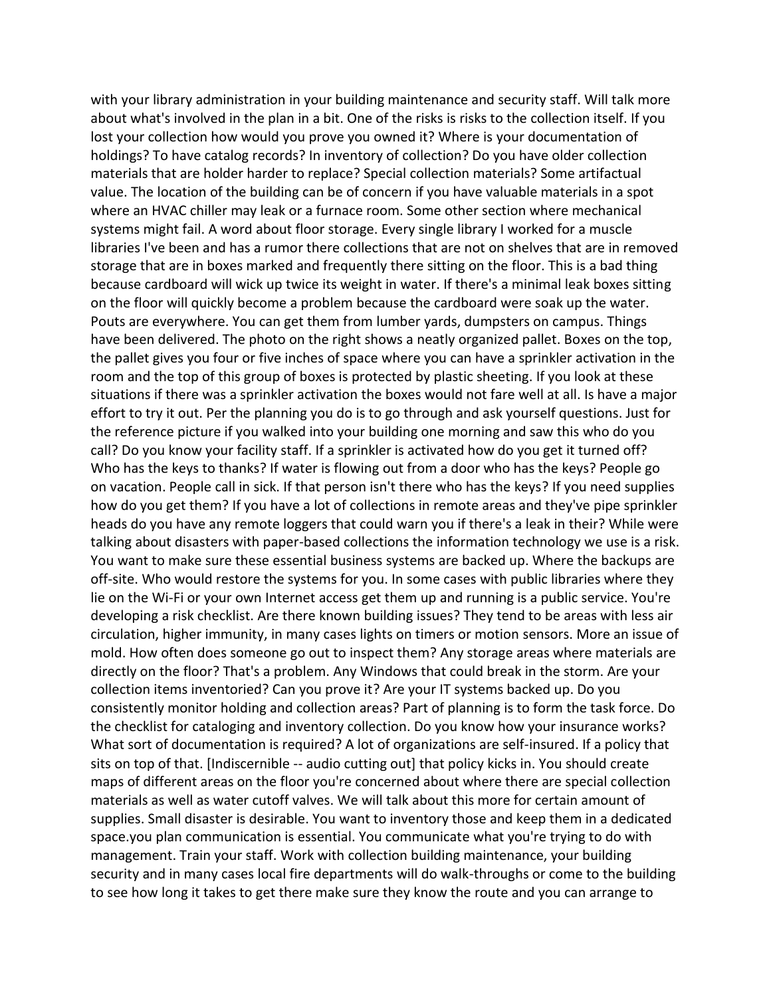with your library administration in your building maintenance and security staff. Will talk more about what's involved in the plan in a bit. One of the risks is risks to the collection itself. If you lost your collection how would you prove you owned it? Where is your documentation of holdings? To have catalog records? In inventory of collection? Do you have older collection materials that are holder harder to replace? Special collection materials? Some artifactual value. The location of the building can be of concern if you have valuable materials in a spot where an HVAC chiller may leak or a furnace room. Some other section where mechanical systems might fail. A word about floor storage. Every single library I worked for a muscle libraries I've been and has a rumor there collections that are not on shelves that are in removed storage that are in boxes marked and frequently there sitting on the floor. This is a bad thing because cardboard will wick up twice its weight in water. If there's a minimal leak boxes sitting on the floor will quickly become a problem because the cardboard were soak up the water. Pouts are everywhere. You can get them from lumber yards, dumpsters on campus. Things have been delivered. The photo on the right shows a neatly organized pallet. Boxes on the top, the pallet gives you four or five inches of space where you can have a sprinkler activation in the room and the top of this group of boxes is protected by plastic sheeting. If you look at these situations if there was a sprinkler activation the boxes would not fare well at all. Is have a major effort to try it out. Per the planning you do is to go through and ask yourself questions. Just for the reference picture if you walked into your building one morning and saw this who do you call? Do you know your facility staff. If a sprinkler is activated how do you get it turned off? Who has the keys to thanks? If water is flowing out from a door who has the keys? People go on vacation. People call in sick. If that person isn't there who has the keys? If you need supplies how do you get them? If you have a lot of collections in remote areas and they've pipe sprinkler heads do you have any remote loggers that could warn you if there's a leak in their? While were talking about disasters with paper-based collections the information technology we use is a risk. You want to make sure these essential business systems are backed up. Where the backups are off-site. Who would restore the systems for you. In some cases with public libraries where they lie on the Wi-Fi or your own Internet access get them up and running is a public service. You're developing a risk checklist. Are there known building issues? They tend to be areas with less air circulation, higher immunity, in many cases lights on timers or motion sensors. More an issue of mold. How often does someone go out to inspect them? Any storage areas where materials are directly on the floor? That's a problem. Any Windows that could break in the storm. Are your collection items inventoried? Can you prove it? Are your IT systems backed up. Do you consistently monitor holding and collection areas? Part of planning is to form the task force. Do the checklist for cataloging and inventory collection. Do you know how your insurance works? What sort of documentation is required? A lot of organizations are self-insured. If a policy that sits on top of that. [Indiscernible -- audio cutting out] that policy kicks in. You should create maps of different areas on the floor you're concerned about where there are special collection materials as well as water cutoff valves. We will talk about this more for certain amount of supplies. Small disaster is desirable. You want to inventory those and keep them in a dedicated space.you plan communication is essential. You communicate what you're trying to do with management. Train your staff. Work with collection building maintenance, your building security and in many cases local fire departments will do walk-throughs or come to the building to see how long it takes to get there make sure they know the route and you can arrange to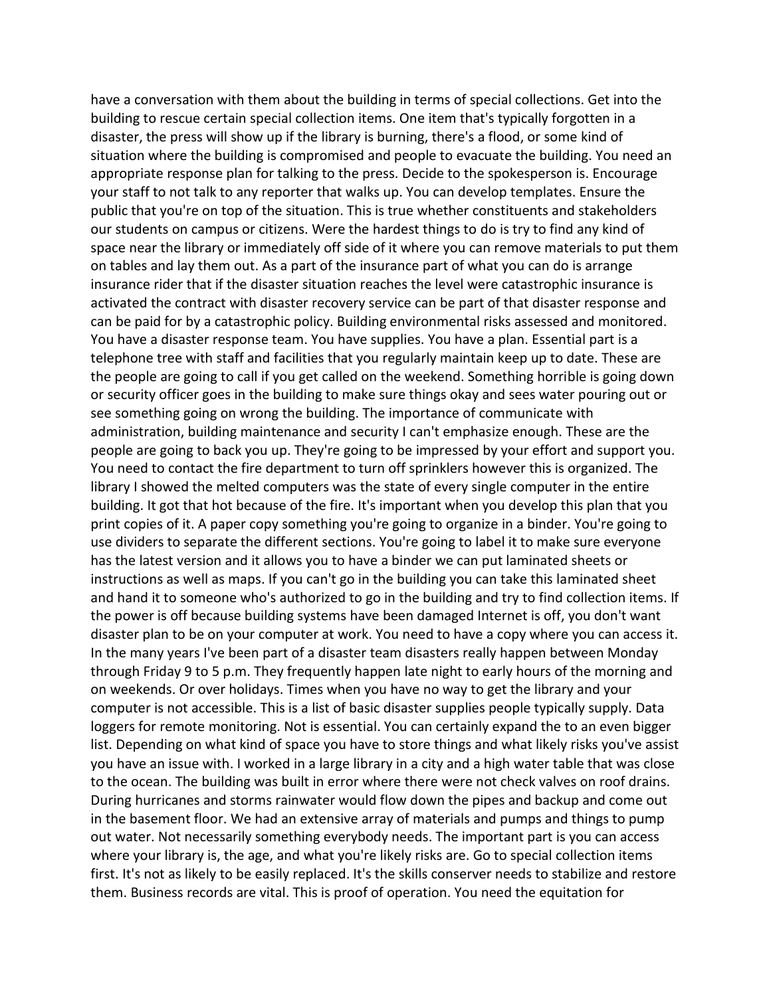have a conversation with them about the building in terms of special collections. Get into the building to rescue certain special collection items. One item that's typically forgotten in a disaster, the press will show up if the library is burning, there's a flood, or some kind of situation where the building is compromised and people to evacuate the building. You need an appropriate response plan for talking to the press. Decide to the spokesperson is. Encourage your staff to not talk to any reporter that walks up. You can develop templates. Ensure the public that you're on top of the situation. This is true whether constituents and stakeholders our students on campus or citizens. Were the hardest things to do is try to find any kind of space near the library or immediately off side of it where you can remove materials to put them on tables and lay them out. As a part of the insurance part of what you can do is arrange insurance rider that if the disaster situation reaches the level were catastrophic insurance is activated the contract with disaster recovery service can be part of that disaster response and can be paid for by a catastrophic policy. Building environmental risks assessed and monitored. You have a disaster response team. You have supplies. You have a plan. Essential part is a telephone tree with staff and facilities that you regularly maintain keep up to date. These are the people are going to call if you get called on the weekend. Something horrible is going down or security officer goes in the building to make sure things okay and sees water pouring out or see something going on wrong the building. The importance of communicate with administration, building maintenance and security I can't emphasize enough. These are the people are going to back you up. They're going to be impressed by your effort and support you. You need to contact the fire department to turn off sprinklers however this is organized. The library I showed the melted computers was the state of every single computer in the entire building. It got that hot because of the fire. It's important when you develop this plan that you print copies of it. A paper copy something you're going to organize in a binder. You're going to use dividers to separate the different sections. You're going to label it to make sure everyone has the latest version and it allows you to have a binder we can put laminated sheets or instructions as well as maps. If you can't go in the building you can take this laminated sheet and hand it to someone who's authorized to go in the building and try to find collection items. If the power is off because building systems have been damaged Internet is off, you don't want disaster plan to be on your computer at work. You need to have a copy where you can access it. In the many years I've been part of a disaster team disasters really happen between Monday through Friday 9 to 5 p.m. They frequently happen late night to early hours of the morning and on weekends. Or over holidays. Times when you have no way to get the library and your computer is not accessible. This is a list of basic disaster supplies people typically supply. Data loggers for remote monitoring. Not is essential. You can certainly expand the to an even bigger list. Depending on what kind of space you have to store things and what likely risks you've assist you have an issue with. I worked in a large library in a city and a high water table that was close to the ocean. The building was built in error where there were not check valves on roof drains. During hurricanes and storms rainwater would flow down the pipes and backup and come out in the basement floor. We had an extensive array of materials and pumps and things to pump out water. Not necessarily something everybody needs. The important part is you can access where your library is, the age, and what you're likely risks are. Go to special collection items first. It's not as likely to be easily replaced. It's the skills conserver needs to stabilize and restore them. Business records are vital. This is proof of operation. You need the equitation for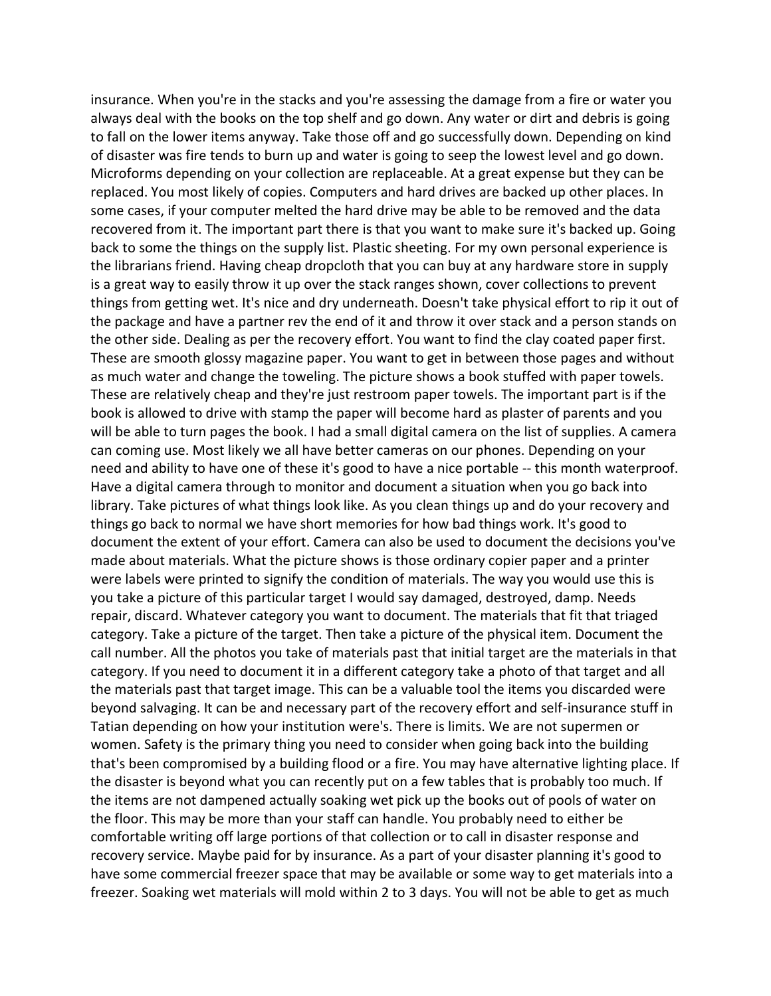insurance. When you're in the stacks and you're assessing the damage from a fire or water you always deal with the books on the top shelf and go down. Any water or dirt and debris is going to fall on the lower items anyway. Take those off and go successfully down. Depending on kind of disaster was fire tends to burn up and water is going to seep the lowest level and go down. Microforms depending on your collection are replaceable. At a great expense but they can be replaced. You most likely of copies. Computers and hard drives are backed up other places. In some cases, if your computer melted the hard drive may be able to be removed and the data recovered from it. The important part there is that you want to make sure it's backed up. Going back to some the things on the supply list. Plastic sheeting. For my own personal experience is the librarians friend. Having cheap dropcloth that you can buy at any hardware store in supply is a great way to easily throw it up over the stack ranges shown, cover collections to prevent things from getting wet. It's nice and dry underneath. Doesn't take physical effort to rip it out of the package and have a partner rev the end of it and throw it over stack and a person stands on the other side. Dealing as per the recovery effort. You want to find the clay coated paper first. These are smooth glossy magazine paper. You want to get in between those pages and without as much water and change the toweling. The picture shows a book stuffed with paper towels. These are relatively cheap and they're just restroom paper towels. The important part is if the book is allowed to drive with stamp the paper will become hard as plaster of parents and you will be able to turn pages the book. I had a small digital camera on the list of supplies. A camera can coming use. Most likely we all have better cameras on our phones. Depending on your need and ability to have one of these it's good to have a nice portable -- this month waterproof. Have a digital camera through to monitor and document a situation when you go back into library. Take pictures of what things look like. As you clean things up and do your recovery and things go back to normal we have short memories for how bad things work. It's good to document the extent of your effort. Camera can also be used to document the decisions you've made about materials. What the picture shows is those ordinary copier paper and a printer were labels were printed to signify the condition of materials. The way you would use this is you take a picture of this particular target I would say damaged, destroyed, damp. Needs repair, discard. Whatever category you want to document. The materials that fit that triaged category. Take a picture of the target. Then take a picture of the physical item. Document the call number. All the photos you take of materials past that initial target are the materials in that category. If you need to document it in a different category take a photo of that target and all the materials past that target image. This can be a valuable tool the items you discarded were beyond salvaging. It can be and necessary part of the recovery effort and self-insurance stuff in Tatian depending on how your institution were's. There is limits. We are not supermen or women. Safety is the primary thing you need to consider when going back into the building that's been compromised by a building flood or a fire. You may have alternative lighting place. If the disaster is beyond what you can recently put on a few tables that is probably too much. If the items are not dampened actually soaking wet pick up the books out of pools of water on the floor. This may be more than your staff can handle. You probably need to either be comfortable writing off large portions of that collection or to call in disaster response and recovery service. Maybe paid for by insurance. As a part of your disaster planning it's good to have some commercial freezer space that may be available or some way to get materials into a freezer. Soaking wet materials will mold within 2 to 3 days. You will not be able to get as much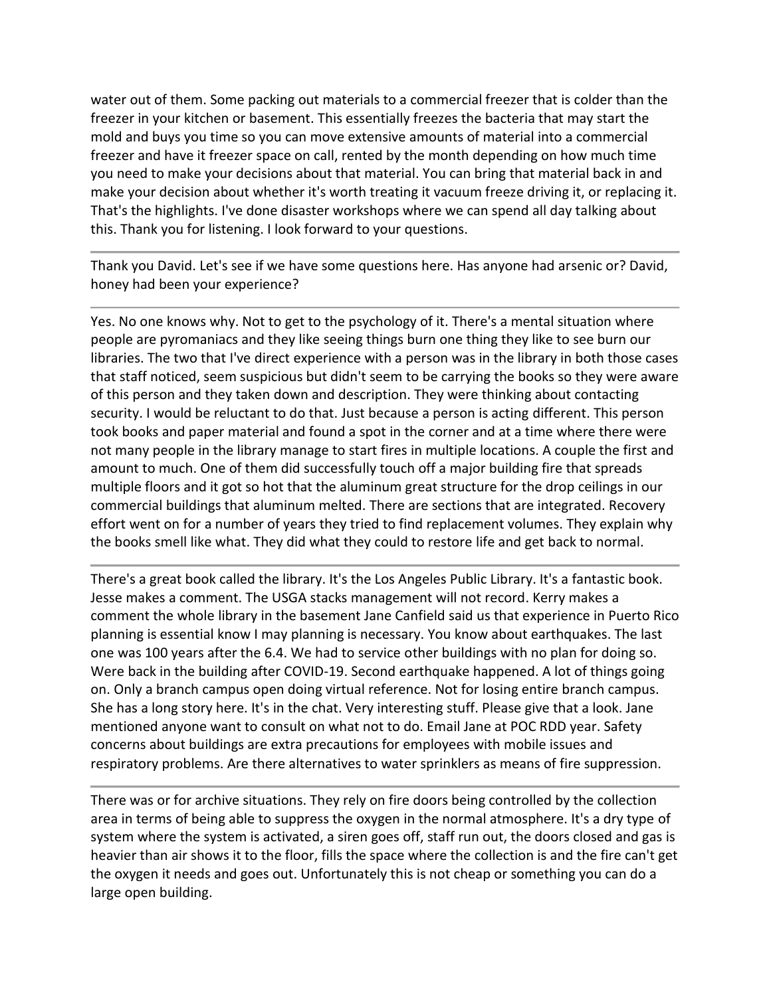water out of them. Some packing out materials to a commercial freezer that is colder than the freezer in your kitchen or basement. This essentially freezes the bacteria that may start the mold and buys you time so you can move extensive amounts of material into a commercial freezer and have it freezer space on call, rented by the month depending on how much time you need to make your decisions about that material. You can bring that material back in and make your decision about whether it's worth treating it vacuum freeze driving it, or replacing it. That's the highlights. I've done disaster workshops where we can spend all day talking about this. Thank you for listening. I look forward to your questions.

Thank you David. Let's see if we have some questions here. Has anyone had arsenic or? David, honey had been your experience?

Yes. No one knows why. Not to get to the psychology of it. There's a mental situation where people are pyromaniacs and they like seeing things burn one thing they like to see burn our libraries. The two that I've direct experience with a person was in the library in both those cases that staff noticed, seem suspicious but didn't seem to be carrying the books so they were aware of this person and they taken down and description. They were thinking about contacting security. I would be reluctant to do that. Just because a person is acting different. This person took books and paper material and found a spot in the corner and at a time where there were not many people in the library manage to start fires in multiple locations. A couple the first and amount to much. One of them did successfully touch off a major building fire that spreads multiple floors and it got so hot that the aluminum great structure for the drop ceilings in our commercial buildings that aluminum melted. There are sections that are integrated. Recovery effort went on for a number of years they tried to find replacement volumes. They explain why the books smell like what. They did what they could to restore life and get back to normal.

There's a great book called the library. It's the Los Angeles Public Library. It's a fantastic book. Jesse makes a comment. The USGA stacks management will not record. Kerry makes a comment the whole library in the basement Jane Canfield said us that experience in Puerto Rico planning is essential know I may planning is necessary. You know about earthquakes. The last one was 100 years after the 6.4. We had to service other buildings with no plan for doing so. Were back in the building after COVID-19. Second earthquake happened. A lot of things going on. Only a branch campus open doing virtual reference. Not for losing entire branch campus. She has a long story here. It's in the chat. Very interesting stuff. Please give that a look. Jane mentioned anyone want to consult on what not to do. Email Jane at POC RDD year. Safety concerns about buildings are extra precautions for employees with mobile issues and respiratory problems. Are there alternatives to water sprinklers as means of fire suppression.

There was or for archive situations. They rely on fire doors being controlled by the collection area in terms of being able to suppress the oxygen in the normal atmosphere. It's a dry type of system where the system is activated, a siren goes off, staff run out, the doors closed and gas is heavier than air shows it to the floor, fills the space where the collection is and the fire can't get the oxygen it needs and goes out. Unfortunately this is not cheap or something you can do a large open building.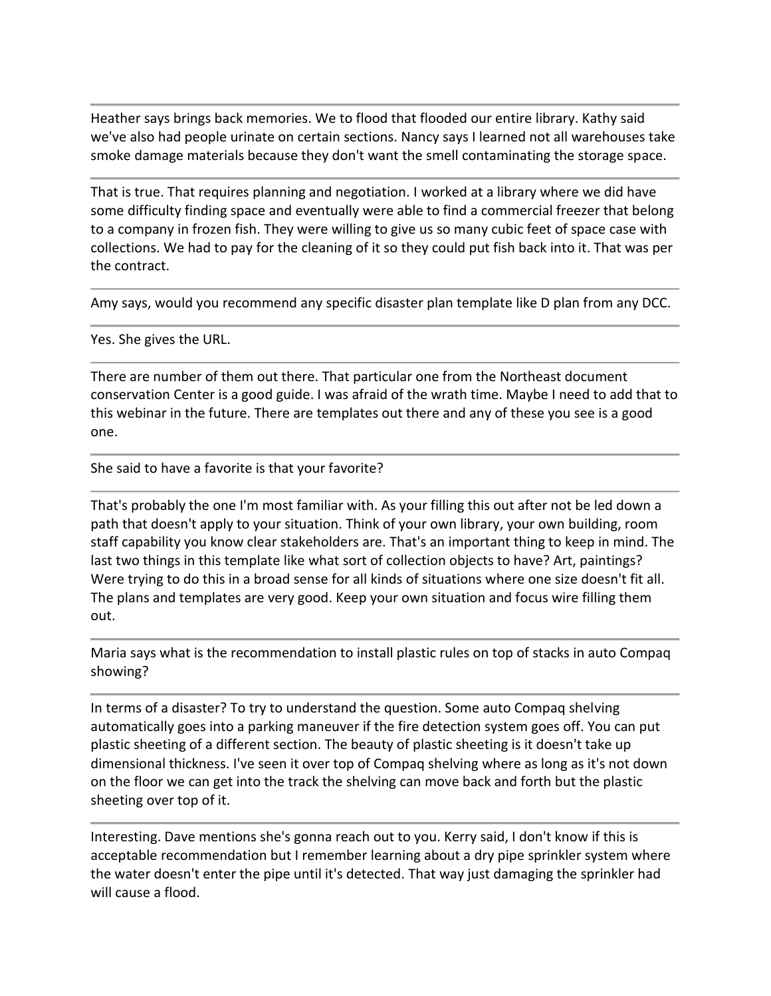Heather says brings back memories. We to flood that flooded our entire library. Kathy said we've also had people urinate on certain sections. Nancy says I learned not all warehouses take smoke damage materials because they don't want the smell contaminating the storage space.

That is true. That requires planning and negotiation. I worked at a library where we did have some difficulty finding space and eventually were able to find a commercial freezer that belong to a company in frozen fish. They were willing to give us so many cubic feet of space case with collections. We had to pay for the cleaning of it so they could put fish back into it. That was per the contract.

Amy says, would you recommend any specific disaster plan template like D plan from any DCC.

Yes. She gives the URL.

There are number of them out there. That particular one from the Northeast document conservation Center is a good guide. I was afraid of the wrath time. Maybe I need to add that to this webinar in the future. There are templates out there and any of these you see is a good one.

She said to have a favorite is that your favorite?

That's probably the one I'm most familiar with. As your filling this out after not be led down a path that doesn't apply to your situation. Think of your own library, your own building, room staff capability you know clear stakeholders are. That's an important thing to keep in mind. The last two things in this template like what sort of collection objects to have? Art, paintings? Were trying to do this in a broad sense for all kinds of situations where one size doesn't fit all. The plans and templates are very good. Keep your own situation and focus wire filling them out.

Maria says what is the recommendation to install plastic rules on top of stacks in auto Compaq showing?

In terms of a disaster? To try to understand the question. Some auto Compaq shelving automatically goes into a parking maneuver if the fire detection system goes off. You can put plastic sheeting of a different section. The beauty of plastic sheeting is it doesn't take up dimensional thickness. I've seen it over top of Compaq shelving where as long as it's not down on the floor we can get into the track the shelving can move back and forth but the plastic sheeting over top of it.

Interesting. Dave mentions she's gonna reach out to you. Kerry said, I don't know if this is acceptable recommendation but I remember learning about a dry pipe sprinkler system where the water doesn't enter the pipe until it's detected. That way just damaging the sprinkler had will cause a flood.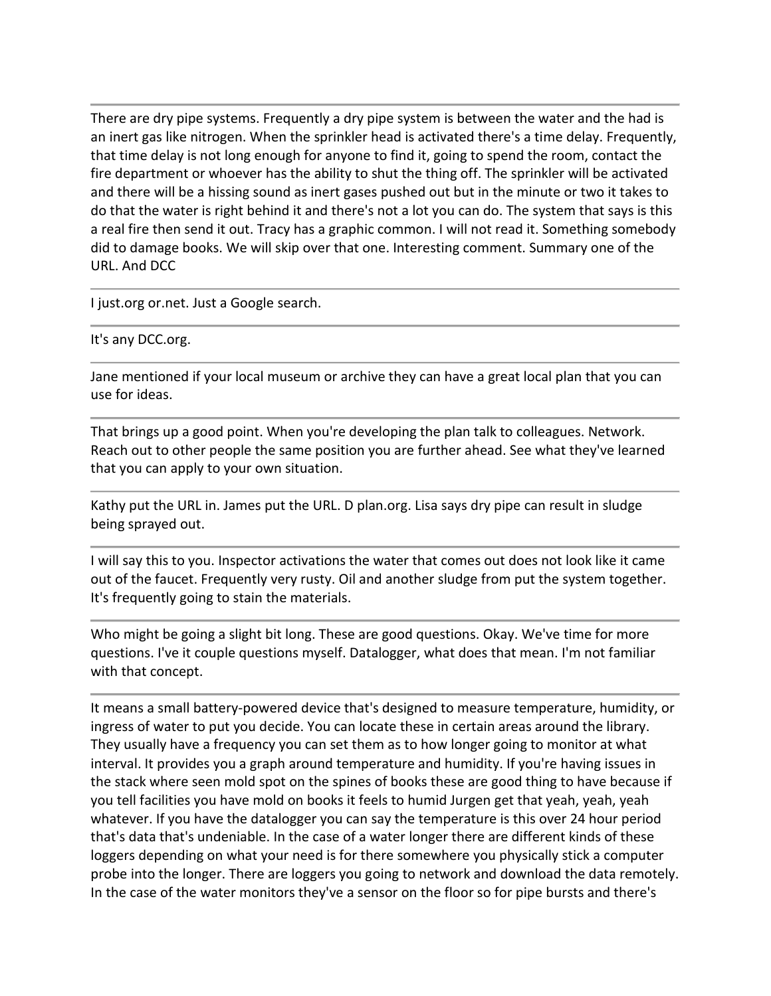There are dry pipe systems. Frequently a dry pipe system is between the water and the had is an inert gas like nitrogen. When the sprinkler head is activated there's a time delay. Frequently, that time delay is not long enough for anyone to find it, going to spend the room, contact the fire department or whoever has the ability to shut the thing off. The sprinkler will be activated and there will be a hissing sound as inert gases pushed out but in the minute or two it takes to do that the water is right behind it and there's not a lot you can do. The system that says is this a real fire then send it out. Tracy has a graphic common. I will not read it. Something somebody did to damage books. We will skip over that one. Interesting comment. Summary one of the URL. And DCC

I just.org or.net. Just a Google search.

It's any DCC.org.

Jane mentioned if your local museum or archive they can have a great local plan that you can use for ideas.

That brings up a good point. When you're developing the plan talk to colleagues. Network. Reach out to other people the same position you are further ahead. See what they've learned that you can apply to your own situation.

Kathy put the URL in. James put the URL. D plan.org. Lisa says dry pipe can result in sludge being sprayed out.

I will say this to you. Inspector activations the water that comes out does not look like it came out of the faucet. Frequently very rusty. Oil and another sludge from put the system together. It's frequently going to stain the materials.

Who might be going a slight bit long. These are good questions. Okay. We've time for more questions. I've it couple questions myself. Datalogger, what does that mean. I'm not familiar with that concept.

It means a small battery-powered device that's designed to measure temperature, humidity, or ingress of water to put you decide. You can locate these in certain areas around the library. They usually have a frequency you can set them as to how longer going to monitor at what interval. It provides you a graph around temperature and humidity. If you're having issues in the stack where seen mold spot on the spines of books these are good thing to have because if you tell facilities you have mold on books it feels to humid Jurgen get that yeah, yeah, yeah whatever. If you have the datalogger you can say the temperature is this over 24 hour period that's data that's undeniable. In the case of a water longer there are different kinds of these loggers depending on what your need is for there somewhere you physically stick a computer probe into the longer. There are loggers you going to network and download the data remotely. In the case of the water monitors they've a sensor on the floor so for pipe bursts and there's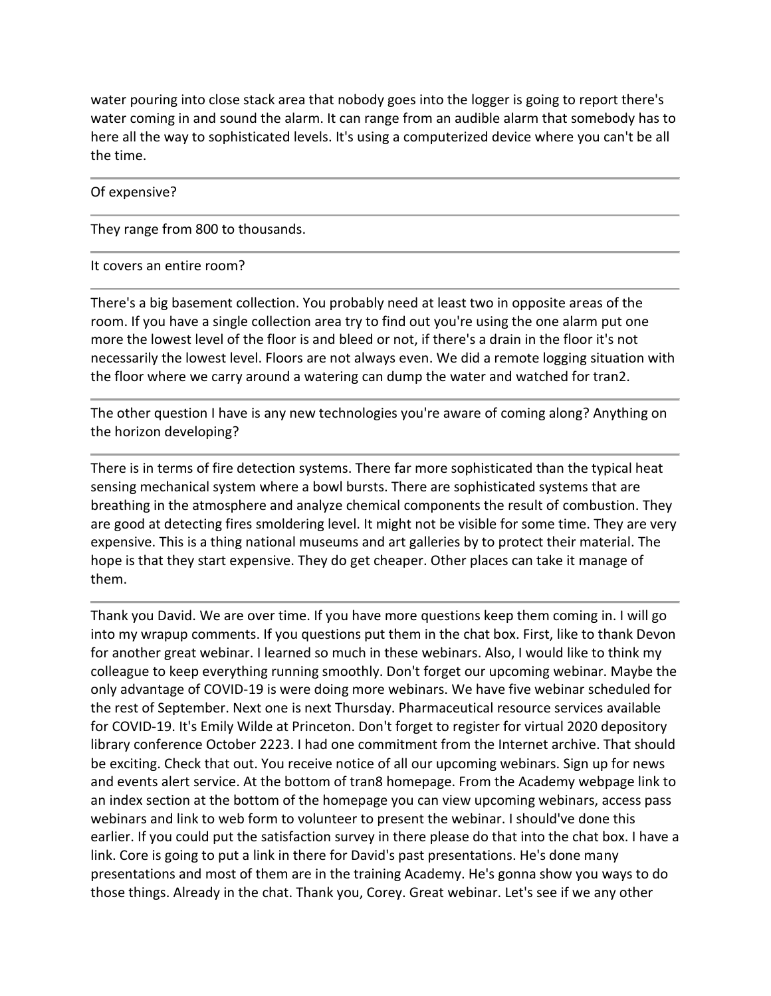water pouring into close stack area that nobody goes into the logger is going to report there's water coming in and sound the alarm. It can range from an audible alarm that somebody has to here all the way to sophisticated levels. It's using a computerized device where you can't be all the time.

Of expensive?

They range from 800 to thousands.

## It covers an entire room?

There's a big basement collection. You probably need at least two in opposite areas of the room. If you have a single collection area try to find out you're using the one alarm put one more the lowest level of the floor is and bleed or not, if there's a drain in the floor it's not necessarily the lowest level. Floors are not always even. We did a remote logging situation with the floor where we carry around a watering can dump the water and watched for tran2.

The other question I have is any new technologies you're aware of coming along? Anything on the horizon developing?

There is in terms of fire detection systems. There far more sophisticated than the typical heat sensing mechanical system where a bowl bursts. There are sophisticated systems that are breathing in the atmosphere and analyze chemical components the result of combustion. They are good at detecting fires smoldering level. It might not be visible for some time. They are very expensive. This is a thing national museums and art galleries by to protect their material. The hope is that they start expensive. They do get cheaper. Other places can take it manage of them.

Thank you David. We are over time. If you have more questions keep them coming in. I will go into my wrapup comments. If you questions put them in the chat box. First, like to thank Devon for another great webinar. I learned so much in these webinars. Also, I would like to think my colleague to keep everything running smoothly. Don't forget our upcoming webinar. Maybe the only advantage of COVID-19 is were doing more webinars. We have five webinar scheduled for the rest of September. Next one is next Thursday. Pharmaceutical resource services available for COVID-19. It's Emily Wilde at Princeton. Don't forget to register for virtual 2020 depository library conference October 2223. I had one commitment from the Internet archive. That should be exciting. Check that out. You receive notice of all our upcoming webinars. Sign up for news and events alert service. At the bottom of tran8 homepage. From the Academy webpage link to an index section at the bottom of the homepage you can view upcoming webinars, access pass webinars and link to web form to volunteer to present the webinar. I should've done this earlier. If you could put the satisfaction survey in there please do that into the chat box. I have a link. Core is going to put a link in there for David's past presentations. He's done many presentations and most of them are in the training Academy. He's gonna show you ways to do those things. Already in the chat. Thank you, Corey. Great webinar. Let's see if we any other